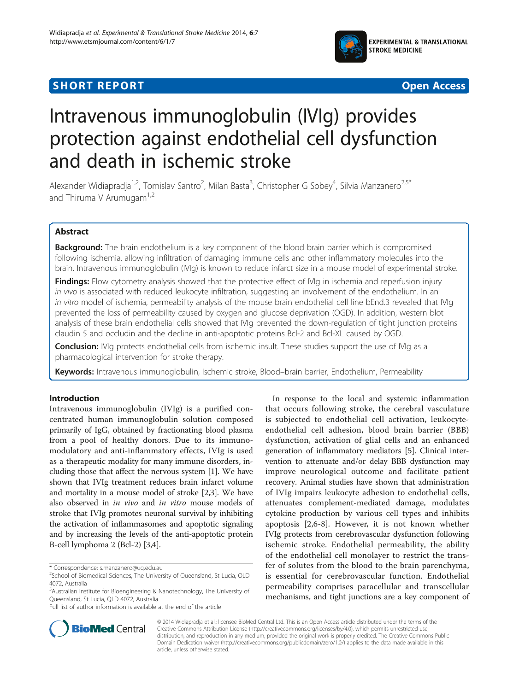## **SHORT REPORT SHORT CONSUMING THE CONSUMING THE CONSUMING THE CONSUMING THE CONSUMING THE CONSUMING THE CONSUMING THE CONSUMING THE CONSUMING THE CONSUMING THE CONSUMING THE CONSUMING THE CONSUMING THE CONSUMING THE CONS**





# Intravenous immunoglobulin (IVIg) provides protection against endothelial cell dysfunction and death in ischemic stroke

Alexander Widiapradja<sup>1,2</sup>, Tomislav Santro<sup>2</sup>, Milan Basta<sup>3</sup>, Christopher G Sobey<sup>4</sup>, Silvia Manzanero<sup>2,5\*</sup> and Thiruma V Arumugam $1,2$ 

## Abstract

Background: The brain endothelium is a key component of the blood brain barrier which is compromised following ischemia, allowing infiltration of damaging immune cells and other inflammatory molecules into the brain. Intravenous immunoglobulin (IVIg) is known to reduce infarct size in a mouse model of experimental stroke.

Findings: Flow cytometry analysis showed that the protective effect of IVIg in ischemia and reperfusion injury in vivo is associated with reduced leukocyte infiltration, suggesting an involvement of the endothelium. In an in vitro model of ischemia, permeability analysis of the mouse brain endothelial cell line bEnd.3 revealed that Mg prevented the loss of permeability caused by oxygen and glucose deprivation (OGD). In addition, western blot analysis of these brain endothelial cells showed that IVIg prevented the down-regulation of tight junction proteins claudin 5 and occludin and the decline in anti-apoptotic proteins Bcl-2 and Bcl-XL caused by OGD.

**Conclusion:** IVIg protects endothelial cells from ischemic insult. These studies support the use of IVIg as a pharmacological intervention for stroke therapy.

Keywords: Intravenous immunoglobulin, Ischemic stroke, Blood-brain barrier, Endothelium, Permeability

## Introduction

Intravenous immunoglobulin (IVIg) is a purified concentrated human immunoglobulin solution composed primarily of IgG, obtained by fractionating blood plasma from a pool of healthy donors. Due to its immunomodulatory and anti-inflammatory effects, IVIg is used as a therapeutic modality for many immune disorders, including those that affect the nervous system [[1\]](#page-5-0). We have shown that IVIg treatment reduces brain infarct volume and mortality in a mouse model of stroke [\[2,3](#page-5-0)]. We have also observed in in vivo and in vitro mouse models of stroke that IVIg promotes neuronal survival by inhibiting the activation of inflammasomes and apoptotic signaling and by increasing the levels of the anti-apoptotic protein B-cell lymphoma 2 (Bcl-2) [[3](#page-5-0),[4](#page-5-0)].

\* Correspondence: [s.manzanero@uq.edu.au](mailto:s.manzanero@uq.edu.au) <sup>2</sup>

In response to the local and systemic inflammation that occurs following stroke, the cerebral vasculature is subjected to endothelial cell activation, leukocyteendothelial cell adhesion, blood brain barrier (BBB) dysfunction, activation of glial cells and an enhanced generation of inflammatory mediators [[5\]](#page-5-0). Clinical intervention to attenuate and/or delay BBB dysfunction may improve neurological outcome and facilitate patient recovery. Animal studies have shown that administration of IVIg impairs leukocyte adhesion to endothelial cells, attenuates complement-mediated damage, modulates cytokine production by various cell types and inhibits apoptosis [[2,6-8](#page-5-0)]. However, it is not known whether IVIg protects from cerebrovascular dysfunction following ischemic stroke. Endothelial permeability, the ability of the endothelial cell monolayer to restrict the transfer of solutes from the blood to the brain parenchyma, is essential for cerebrovascular function. Endothelial permeability comprises paracellular and transcellular mechanisms, and tight junctions are a key component of



© 2014 Widiapradja et al.; licensee BioMed Central Ltd. This is an Open Access article distributed under the terms of the Creative Commons Attribution License (<http://creativecommons.org/licenses/by/4.0>), which permits unrestricted use, distribution, and reproduction in any medium, provided the original work is properly credited. The Creative Commons Public Domain Dedication waiver [\(http://creativecommons.org/publicdomain/zero/1.0/\)](http://creativecommons.org/publicdomain/zero/1.0/) applies to the data made available in this article, unless otherwise stated.

<sup>&</sup>lt;sup>2</sup>School of Biomedical Sciences, The University of Queensland, St Lucia, QLD 4072, Australia

<sup>5</sup> Australian Institute for Bioengineering & Nanotechnology, The University of Queensland, St Lucia, QLD 4072, Australia

Full list of author information is available at the end of the article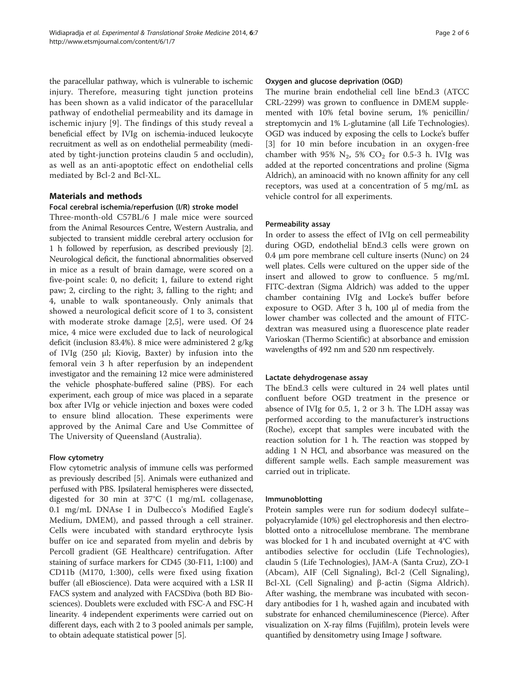the paracellular pathway, which is vulnerable to ischemic injury. Therefore, measuring tight junction proteins has been shown as a valid indicator of the paracellular pathway of endothelial permeability and its damage in ischemic injury [[9\]](#page-5-0). The findings of this study reveal a beneficial effect by IVIg on ischemia-induced leukocyte recruitment as well as on endothelial permeability (mediated by tight-junction proteins claudin 5 and occludin), as well as an anti-apoptotic effect on endothelial cells mediated by Bcl-2 and Bcl-XL.

## Materials and methods

## Focal cerebral ischemia/reperfusion (I/R) stroke model

Three-month-old C57BL/6 J male mice were sourced from the Animal Resources Centre, Western Australia, and subjected to transient middle cerebral artery occlusion for 1 h followed by reperfusion, as described previously [[2](#page-5-0)]. Neurological deficit, the functional abnormalities observed in mice as a result of brain damage, were scored on a five-point scale: 0, no deficit; 1, failure to extend right paw; 2, circling to the right; 3, falling to the right; and 4, unable to walk spontaneously. Only animals that showed a neurological deficit score of 1 to 3, consistent with moderate stroke damage [\[2,5](#page-5-0)], were used. Of 24 mice, 4 mice were excluded due to lack of neurological deficit (inclusion 83.4%). 8 mice were administered 2 g/kg of IVIg (250 μl; Kiovig, Baxter) by infusion into the femoral vein 3 h after reperfusion by an independent investigator and the remaining 12 mice were administered the vehicle phosphate-buffered saline (PBS). For each experiment, each group of mice was placed in a separate box after IVIg or vehicle injection and boxes were coded to ensure blind allocation. These experiments were approved by the Animal Care and Use Committee of The University of Queensland (Australia).

## Flow cytometry

Flow cytometric analysis of immune cells was performed as previously described [[5](#page-5-0)]. Animals were euthanized and perfused with PBS. Ipsilateral hemispheres were dissected, digested for 30 min at 37°C (1 mg/mL collagenase, 0.1 mg/mL DNAse I in Dulbecco's Modified Eagle's Medium, DMEM), and passed through a cell strainer. Cells were incubated with standard erythrocyte lysis buffer on ice and separated from myelin and debris by Percoll gradient (GE Healthcare) centrifugation. After staining of surface markers for CD45 (30-F11, 1:100) and CD11b (M170, 1:300), cells were fixed using fixation buffer (all eBioscience). Data were acquired with a LSR II FACS system and analyzed with FACSDiva (both BD Biosciences). Doublets were excluded with FSC-A and FSC-H linearity. 4 independent experiments were carried out on different days, each with 2 to 3 pooled animals per sample, to obtain adequate statistical power [[5\]](#page-5-0).

#### Oxygen and glucose deprivation (OGD)

The murine brain endothelial cell line bEnd.3 (ATCC CRL-2299) was grown to confluence in DMEM supplemented with 10% fetal bovine serum, 1% penicillin/ streptomycin and 1% L-glutamine (all Life Technologies). OGD was induced by exposing the cells to Locke's buffer [[3\]](#page-5-0) for 10 min before incubation in an oxygen-free chamber with 95%  $N_2$ , 5%  $CO_2$  for 0.5-3 h. IVIg was added at the reported concentrations and proline (Sigma Aldrich), an aminoacid with no known affinity for any cell receptors, was used at a concentration of 5 mg/mL as vehicle control for all experiments.

#### Permeability assay

In order to assess the effect of IVIg on cell permeability during OGD, endothelial bEnd.3 cells were grown on 0.4 μm pore membrane cell culture inserts (Nunc) on 24 well plates. Cells were cultured on the upper side of the insert and allowed to grow to confluence. 5 mg/mL FITC-dextran (Sigma Aldrich) was added to the upper chamber containing IVIg and Locke's buffer before exposure to OGD. After 3 h, 100 μl of media from the lower chamber was collected and the amount of FITCdextran was measured using a fluorescence plate reader Varioskan (Thermo Scientific) at absorbance and emission wavelengths of 492 nm and 520 nm respectively.

#### Lactate dehydrogenase assay

The bEnd.3 cells were cultured in 24 well plates until confluent before OGD treatment in the presence or absence of IVIg for 0.5, 1, 2 or 3 h. The LDH assay was performed according to the manufacturer's instructions (Roche), except that samples were incubated with the reaction solution for 1 h. The reaction was stopped by adding 1 N HCl, and absorbance was measured on the different sample wells. Each sample measurement was carried out in triplicate.

#### Immunoblotting

Protein samples were run for sodium dodecyl sulfate– polyacrylamide (10%) gel electrophoresis and then electroblotted onto a nitrocellulose membrane. The membrane was blocked for 1 h and incubated overnight at 4°C with antibodies selective for occludin (Life Technologies), claudin 5 (Life Technologies), JAM-A (Santa Cruz), ZO-1 (Abcam), AIF (Cell Signaling), Bcl-2 (Cell Signaling), Bcl-XL (Cell Signaling) and β-actin (Sigma Aldrich). After washing, the membrane was incubated with secondary antibodies for 1 h, washed again and incubated with substrate for enhanced chemiluminescence (Pierce). After visualization on X-ray films (Fujifilm), protein levels were quantified by densitometry using Image J software.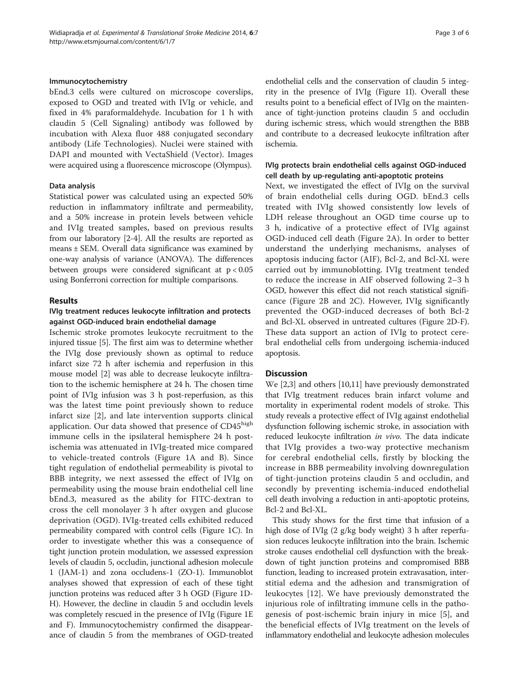bEnd.3 cells were cultured on microscope coverslips, exposed to OGD and treated with IVIg or vehicle, and fixed in 4% paraformaldehyde. Incubation for 1 h with claudin 5 (Cell Signaling) antibody was followed by incubation with Alexa fluor 488 conjugated secondary antibody (Life Technologies). Nuclei were stained with DAPI and mounted with VectaShield (Vector). Images were acquired using a fluorescence microscope (Olympus).

### Data analysis

Statistical power was calculated using an expected 50% reduction in inflammatory infiltrate and permeability, and a 50% increase in protein levels between vehicle and IVIg treated samples, based on previous results from our laboratory [\[2-4](#page-5-0)]. All the results are reported as means ± SEM. Overall data significance was examined by one-way analysis of variance (ANOVA). The differences between groups were considered significant at  $p < 0.05$ using Bonferroni correction for multiple comparisons.

## Results

## IVIg treatment reduces leukocyte infiltration and protects against OGD-induced brain endothelial damage

Ischemic stroke promotes leukocyte recruitment to the injured tissue [[5\]](#page-5-0). The first aim was to determine whether the IVIg dose previously shown as optimal to reduce infarct size 72 h after ischemia and reperfusion in this mouse model [[2\]](#page-5-0) was able to decrease leukocyte infiltration to the ischemic hemisphere at 24 h. The chosen time point of IVIg infusion was 3 h post-reperfusion, as this was the latest time point previously shown to reduce infarct size [\[2](#page-5-0)], and late intervention supports clinical application. Our data showed that presence of CD45high immune cells in the ipsilateral hemisphere 24 h postischemia was attenuated in IVIg-treated mice compared to vehicle-treated controls (Figure [1A](#page-3-0) and B). Since tight regulation of endothelial permeability is pivotal to BBB integrity, we next assessed the effect of IVIg on permeability using the mouse brain endothelial cell line bEnd.3, measured as the ability for FITC-dextran to cross the cell monolayer 3 h after oxygen and glucose deprivation (OGD). IVIg-treated cells exhibited reduced permeability compared with control cells (Figure [1](#page-3-0)C). In order to investigate whether this was a consequence of tight junction protein modulation, we assessed expression levels of claudin 5, occludin, junctional adhesion molecule 1 (JAM-1) and zona occludens-1 (ZO-1). Immunoblot analyses showed that expression of each of these tight junction proteins was reduced after 3 h OGD (Figure [1D](#page-3-0)-H). However, the decline in claudin 5 and occludin levels was completely rescued in the presence of IVIg (Figure [1](#page-3-0)E and F). Immunocytochemistry confirmed the disappearance of claudin 5 from the membranes of OGD-treated endothelial cells and the conservation of claudin 5 integrity in the presence of IVIg (Figure [1I](#page-3-0)). Overall these results point to a beneficial effect of IVIg on the maintenance of tight-junction proteins claudin 5 and occludin during ischemic stress, which would strengthen the BBB and contribute to a decreased leukocyte infiltration after ischemia.

## IVIg protects brain endothelial cells against OGD-induced cell death by up-regulating anti-apoptotic proteins

Next, we investigated the effect of IVIg on the survival of brain endothelial cells during OGD. bEnd.3 cells treated with IVIg showed consistently low levels of LDH release throughout an OGD time course up to 3 h, indicative of a protective effect of IVIg against OGD-induced cell death (Figure [2A](#page-4-0)). In order to better understand the underlying mechanisms, analyses of apoptosis inducing factor (AIF), Bcl-2, and Bcl-XL were carried out by immunoblotting. IVIg treatment tended to reduce the increase in AIF observed following 2–3 h OGD, however this effect did not reach statistical significance (Figure [2](#page-4-0)B and [2](#page-4-0)C). However, IVIg significantly prevented the OGD-induced decreases of both Bcl-2 and Bcl-XL observed in untreated cultures (Figure [2D](#page-4-0)-F). These data support an action of IVIg to protect cerebral endothelial cells from undergoing ischemia-induced apoptosis.

## **Discussion**

We [[2,3\]](#page-5-0) and others [\[10,11\]](#page-5-0) have previously demonstrated that IVIg treatment reduces brain infarct volume and mortality in experimental rodent models of stroke. This study reveals a protective effect of IVIg against endothelial dysfunction following ischemic stroke, in association with reduced leukocyte infiltration in vivo. The data indicate that IVIg provides a two-way protective mechanism for cerebral endothelial cells, firstly by blocking the increase in BBB permeability involving downregulation of tight-junction proteins claudin 5 and occludin, and secondly by preventing ischemia-induced endothelial cell death involving a reduction in anti-apoptotic proteins, Bcl-2 and Bcl-XL.

This study shows for the first time that infusion of a high dose of IVIg (2 g/kg body weight) 3 h after reperfusion reduces leukocyte infiltration into the brain. Ischemic stroke causes endothelial cell dysfunction with the breakdown of tight junction proteins and compromised BBB function, leading to increased protein extravasation, interstitial edema and the adhesion and transmigration of leukocytes [[12\]](#page-5-0). We have previously demonstrated the injurious role of infiltrating immune cells in the pathogenesis of post-ischemic brain injury in mice [\[5](#page-5-0)], and the beneficial effects of IVIg treatment on the levels of inflammatory endothelial and leukocyte adhesion molecules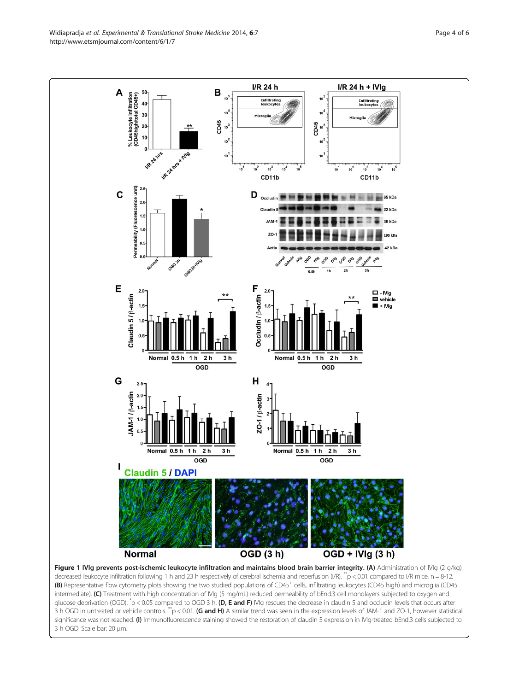<span id="page-3-0"></span>Widiapradia et al. Experimental & Translational Stroke Medicine 2014, 6:7 et al. et al. et al. et al. et al. et al. et al. et al. et al. et al. et al. et al. et al. et al. et al. et al. et al. et al. et al. et al. et al. e http://www.etsmjournal.com/content/6/1/7

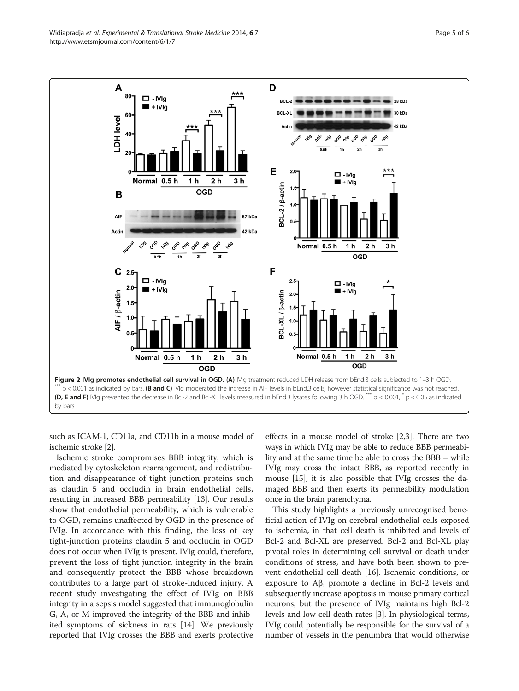<span id="page-4-0"></span>

such as ICAM-1, CD11a, and CD11b in a mouse model of ischemic stroke [\[2\]](#page-5-0).

Ischemic stroke compromises BBB integrity, which is mediated by cytoskeleton rearrangement, and redistribution and disappearance of tight junction proteins such as claudin 5 and occludin in brain endothelial cells, resulting in increased BBB permeability [[13](#page-5-0)]. Our results show that endothelial permeability, which is vulnerable to OGD, remains unaffected by OGD in the presence of IVIg. In accordance with this finding, the loss of key tight-junction proteins claudin 5 and occludin in OGD does not occur when IVIg is present. IVIg could, therefore, prevent the loss of tight junction integrity in the brain and consequently protect the BBB whose breakdown contributes to a large part of stroke-induced injury. A recent study investigating the effect of IVIg on BBB integrity in a sepsis model suggested that immunoglobulin G, A, or M improved the integrity of the BBB and inhibited symptoms of sickness in rats [\[14\]](#page-5-0). We previously reported that IVIg crosses the BBB and exerts protective

effects in a mouse model of stroke [\[2,3](#page-5-0)]. There are two ways in which IVIg may be able to reduce BBB permeability and at the same time be able to cross the BBB – while IVIg may cross the intact BBB, as reported recently in mouse [[15](#page-5-0)], it is also possible that IVIg crosses the damaged BBB and then exerts its permeability modulation once in the brain parenchyma.

This study highlights a previously unrecognised beneficial action of IVIg on cerebral endothelial cells exposed to ischemia, in that cell death is inhibited and levels of Bcl-2 and Bcl-XL are preserved. Bcl-2 and Bcl-XL play pivotal roles in determining cell survival or death under conditions of stress, and have both been shown to prevent endothelial cell death [[16\]](#page-5-0). Ischemic conditions, or exposure to Aβ, promote a decline in Bcl-2 levels and subsequently increase apoptosis in mouse primary cortical neurons, but the presence of IVIg maintains high Bcl-2 levels and low cell death rates [\[3](#page-5-0)]. In physiological terms, IVIg could potentially be responsible for the survival of a number of vessels in the penumbra that would otherwise